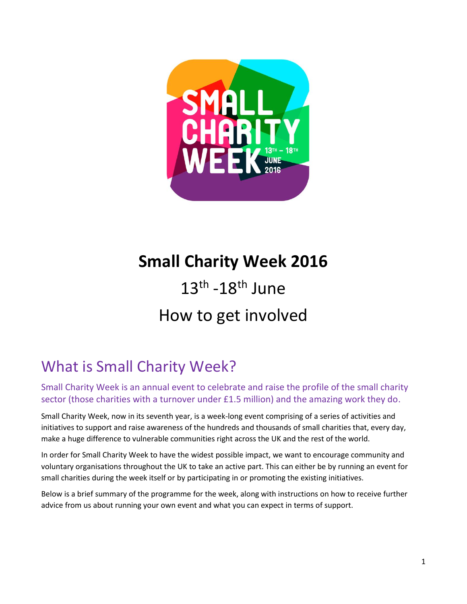

# **Small Charity Week 2016**

# $13<sup>th</sup> - 18<sup>th</sup>$  June How to get involved

# What is Small Charity Week?

Small Charity Week is an annual event to celebrate and raise the profile of the small charity sector (those charities with a turnover under £1.5 million) and the amazing work they do.

Small Charity Week, now in its seventh year, is a week-long event comprising of a series of activities and initiatives to support and raise awareness of the hundreds and thousands of small charities that, every day, make a huge difference to vulnerable communities right across the UK and the rest of the world.

In order for Small Charity Week to have the widest possible impact, we want to encourage community and voluntary organisations throughout the UK to take an active part. This can either be by running an event for small charities during the week itself or by participating in or promoting the existing initiatives.

Below is a brief summary of the programme for the week, along with instructions on how to receive further advice from us about running your own event and what you can expect in terms of support.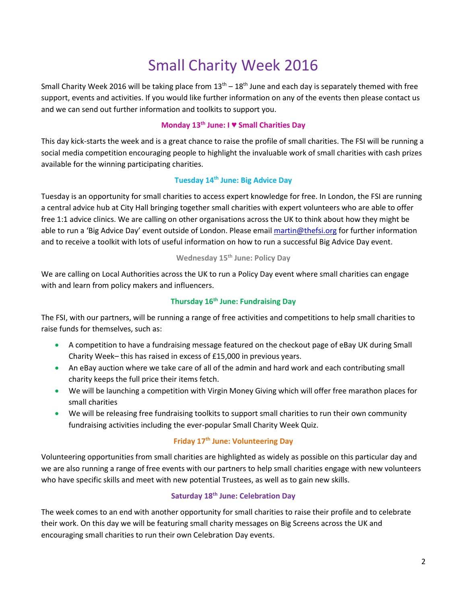## Small Charity Week 2016

Small Charity Week 2016 will be taking place from  $13<sup>th</sup> - 18<sup>th</sup>$  June and each day is separately themed with free support, events and activities. If you would like further information on any of the events then please contact us and we can send out further information and toolkits to support you.

#### **Monday 13th June: I ♥ Small Charities Day**

This day kick-starts the week and is a great chance to raise the profile of small charities. The FSI will be running a social media competition encouraging people to highlight the invaluable work of small charities with cash prizes available for the winning participating charities.

#### **Tuesday 14th June: Big Advice Day**

Tuesday is an opportunity for small charities to access expert knowledge for free. In London, the FSI are running a central advice hub at City Hall bringing together small charities with expert volunteers who are able to offer free 1:1 advice clinics. We are calling on other organisations across the UK to think about how they might be able to run a 'Big Advice Day' event outside of London. Please email [martin@thefsi.org](mailto:martin@thefsi.org) for further information and to receive a toolkit with lots of useful information on how to run a successful Big Advice Day event.

#### **Wednesday 15th June: Policy Day**

We are calling on Local Authorities across the UK to run a Policy Day event where small charities can engage with and learn from policy makers and influencers.

#### **Thursday 16th June: Fundraising Day**

The FSI, with our partners, will be running a range of free activities and competitions to help small charities to raise funds for themselves, such as:

- A competition to have a fundraising message featured on the checkout page of eBay UK during Small Charity Week– this has raised in excess of £15,000 in previous years.
- An eBay auction where we take care of all of the admin and hard work and each contributing small charity keeps the full price their items fetch.
- We will be launching a competition with Virgin Money Giving which will offer free marathon places for small charities
- We will be releasing free fundraising toolkits to support small charities to run their own community fundraising activities including the ever-popular Small Charity Week Quiz.

#### **Friday 17th June: Volunteering Day**

Volunteering opportunities from small charities are highlighted as widely as possible on this particular day and we are also running a range of free events with our partners to help small charities engage with new volunteers who have specific skills and meet with new potential Trustees, as well as to gain new skills.

#### **Saturday 18th June: Celebration Day**

The week comes to an end with another opportunity for small charities to raise their profile and to celebrate their work. On this day we will be featuring small charity messages on Big Screens across the UK and encouraging small charities to run their own Celebration Day events.